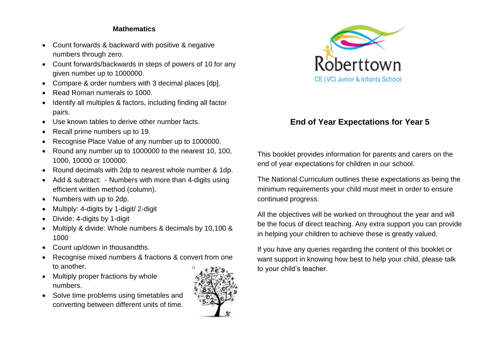## **Mathematics**

- Count forwards & backward with positive & negative numbers through zero.
- Count forwards/backwards in steps of powers of 10 for any given number up to 1000000.
- Compare & order numbers with 3 decimal places [dp].
- Read Roman numerals to 1000.
- Identify all multiples & factors, including finding all factor pairs.
- Use known tables to derive other number facts.
- Recall prime numbers up to 19.
- Recognise Place Value of any number up to 1000000.
- Round any number up to 1000000 to the nearest 10, 100, 1000, 10000 or 100000.
- Round decimals with 2dp to nearest whole number & 1dp.
- Add & subtract: Numbers with more than 4-digits using efficient written method (column).
- Numbers with up to 2dp.
- Multiply: 4-digits by 1-digit/ 2-digit
- Divide: 4-digits by 1-digit
- Multiply & divide: Whole numbers & decimals by 10,100 & 1000
- Count up/down in thousandths.
- Recognise mixed numbers & fractions & convert from one to another.
- Multiply proper fractions by whole numbers.
- Solve time problems using timetables and converting between different units of time.





## **End of Year Expectations for Year 5**

This booklet provides information for parents and carers on the end of year expectations for children in our school.

The National Curriculum outlines these expectations as being the minimum requirements your child must meet in order to ensure continued progress.

All the objectives will be worked on throughout the year and will be the focus of direct teaching. Any extra support you can provide in helping your children to achieve these is greatly valued.

If you have any queries regarding the content of this booklet or want support in knowing how best to help your child, please talk to your child's teacher.